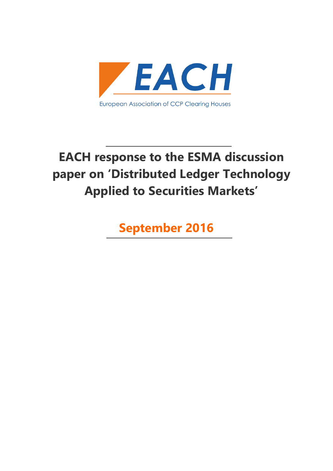

# **EACH response to the ESMA discussion paper on 'Distributed Ledger Technology Applied to Securities Markets'**

**September 2016**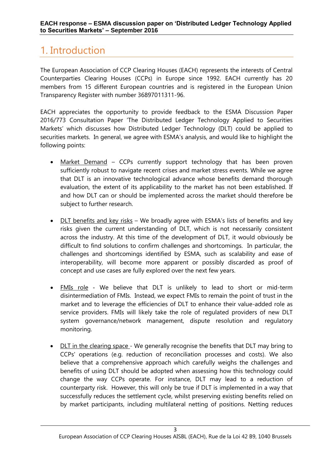## <span id="page-2-0"></span>1. Introduction

The European Association of CCP Clearing Houses (EACH) represents the interests of Central Counterparties Clearing Houses (CCPs) in Europe since 1992. EACH currently has 20 members from 15 different European countries and is registered in the European Union Transparency Register with number 36897011311-96.

EACH appreciates the opportunity to provide feedback to the ESMA Discussion Paper 2016/773 Consultation Paper 'The Distributed Ledger Technology Applied to Securities Markets' which discusses how Distributed Ledger Technology (DLT) could be applied to securities markets. In general, we agree with ESMA's analysis, and would like to highlight the following points:

- Market Demand CCPs currently support technology that has been proven sufficiently robust to navigate recent crises and market stress events. While we agree that DLT is an innovative technological advance whose benefits demand thorough evaluation, the extent of its applicability to the market has not been established. If and how DLT can or should be implemented across the market should therefore be subject to further research.
- DLT benefits and key risks We broadly agree with ESMA's lists of benefits and key risks given the current understanding of DLT, which is not necessarily consistent across the industry. At this time of the development of DLT, it would obviously be difficult to find solutions to confirm challenges and shortcomings. In particular, the challenges and shortcomings identified by ESMA, such as scalability and ease of interoperability, will become more apparent or possibly discarded as proof of concept and use cases are fully explored over the next few years.
- FMIs role We believe that DLT is unlikely to lead to short or mid-term disintermediation of FMIs. Instead, we expect FMIs to remain the point of trust in the market and to leverage the efficiencies of DLT to enhance their value-added role as service providers. FMIs will likely take the role of regulated providers of new DLT system governance/network management, dispute resolution and regulatory monitoring.
- DLT in the clearing space We generally recognise the benefits that DLT may bring to CCPs' operations (e.g. reduction of reconciliation processes and costs). We also believe that a comprehensive approach which carefully weighs the challenges and benefits of using DLT should be adopted when assessing how this technology could change the way CCPs operate. For instance, DLT may lead to a reduction of counterparty risk. However, this will only be true if DLT is implemented in a way that successfully reduces the settlement cycle, whilst preserving existing benefits relied on by market participants, including multilateral netting of positions. Netting reduces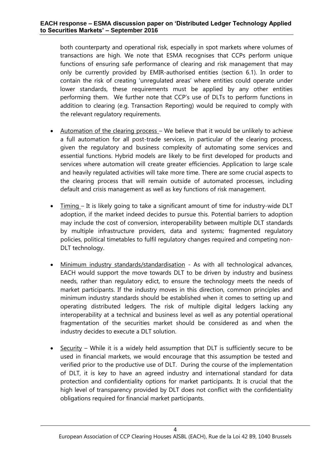both counterparty and operational risk, especially in spot markets where volumes of transactions are high. We note that ESMA recognises that CCPs perform unique functions of ensuring safe performance of clearing and risk management that may only be currently provided by EMIR-authorised entities (section 6.1). In order to contain the risk of creating 'unregulated areas' where entities could operate under lower standards, these requirements must be applied by any other entities performing them. We further note that CCP's use of DLTs to perform functions in addition to clearing (e.g. Transaction Reporting) would be required to comply with the relevant regulatory requirements.

- Automation of the clearing process We believe that it would be unlikely to achieve a full automation for all post-trade services, in particular of the clearing process, given the regulatory and business complexity of automating some services and essential functions. Hybrid models are likely to be first developed for products and services where automation will create greater efficiencies. Application to large scale and heavily regulated activities will take more time. There are some crucial aspects to the clearing process that will remain outside of automated processes, including default and crisis management as well as key functions of risk management.
- Timing It is likely going to take a significant amount of time for industry-wide DLT adoption, if the market indeed decides to pursue this. Potential barriers to adoption may include the cost of conversion, interoperability between multiple DLT standards by multiple infrastructure providers, data and systems; fragmented regulatory policies, political timetables to fulfil regulatory changes required and competing non-DLT technology.
- Minimum industry standards/standardisation As with all technological advances, EACH would support the move towards DLT to be driven by industry and business needs, rather than regulatory edict, to ensure the technology meets the needs of market participants. If the industry moves in this direction, common principles and minimum industry standards should be established when it comes to setting up and operating distributed ledgers. The risk of multiple digital ledgers lacking any interoperability at a technical and business level as well as any potential operational fragmentation of the securities market should be considered as and when the industry decides to execute a DLT solution.
- $\bullet$  Security While it is a widely held assumption that DLT is sufficiently secure to be used in financial markets, we would encourage that this assumption be tested and verified prior to the productive use of DLT. During the course of the implementation of DLT, it is key to have an agreed industry and international standard for data protection and confidentiality options for market participants. It is crucial that the high level of transparency provided by DLT does not conflict with the confidentiality obligations required for financial market participants.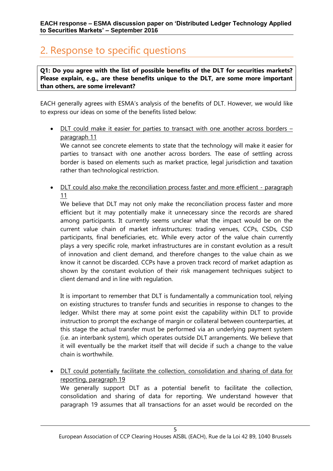## <span id="page-4-0"></span>2. Response to specific questions

**Q1: Do you agree with the list of possible benefits of the DLT for securities markets? Please explain, e.g., are these benefits unique to the DLT, are some more important than others, are some irrelevant?**

EACH generally agrees with ESMA's analysis of the benefits of DLT. However, we would like to express our ideas on some of the benefits listed below:

• DLT could make it easier for parties to transact with one another across borders paragraph 11

We cannot see concrete elements to state that the technology will make it easier for parties to transact with one another across borders. The ease of settling across border is based on elements such as market practice, legal jurisdiction and taxation rather than technological restriction.

• DLT could also make the reconciliation process faster and more efficient - paragraph 11

We believe that DLT may not only make the reconciliation process faster and more efficient but it may potentially make it unnecessary since the records are shared among participants. It currently seems unclear what the impact would be on the current value chain of market infrastructures: trading venues, CCPs, CSDs, CSD participants, final beneficiaries, etc. While every actor of the value chain currently plays a very specific role, market infrastructures are in constant evolution as a result of innovation and client demand, and therefore changes to the value chain as we know it cannot be discarded. CCPs have a proven track record of market adaption as shown by the constant evolution of their risk management techniques subject to client demand and in line with regulation.

It is important to remember that DLT is fundamentally a communication tool, relying on existing structures to transfer funds and securities in response to changes to the ledger. Whilst there may at some point exist the capability within DLT to provide instruction to prompt the exchange of margin or collateral between counterparties, at this stage the actual transfer must be performed via an underlying payment system (i.e. an interbank system), which operates outside DLT arrangements. We believe that it will eventually be the market itself that will decide if such a change to the value chain is worthwhile.

 DLT could potentially facilitate the collection, consolidation and sharing of data for reporting, paragraph 19 We generally support DLT as a potential benefit to facilitate the collection, consolidation and sharing of data for reporting. We understand however that

paragraph 19 assumes that all transactions for an asset would be recorded on the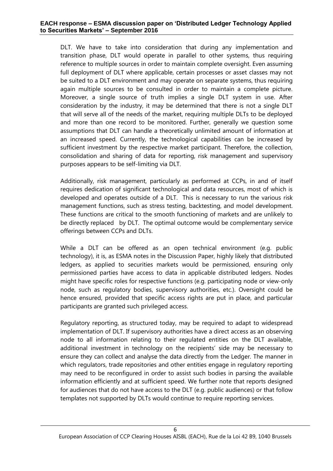#### **EACH response – ESMA discussion paper on 'Distributed Ledger Technology Applied to Securities Markets' – September 2016**

DLT. We have to take into consideration that during any implementation and transition phase, DLT would operate in parallel to other systems, thus requiring reference to multiple sources in order to maintain complete oversight. Even assuming full deployment of DLT where applicable, certain processes or asset classes may not be suited to a DLT environment and may operate on separate systems, thus requiring again multiple sources to be consulted in order to maintain a complete picture. Moreover, a single source of truth implies a single DLT system in use. After consideration by the industry, it may be determined that there is not a single DLT that will serve all of the needs of the market, requiring multiple DLTs to be deployed and more than one record to be monitored. Further, generally we question some assumptions that DLT can handle a theoretically unlimited amount of information at an increased speed. Currently, the technological capabilities can be increased by sufficient investment by the respective market participant. Therefore, the collection, consolidation and sharing of data for reporting, risk management and supervisory purposes appears to be self-limiting via DLT.

Additionally, risk management, particularly as performed at CCPs, in and of itself requires dedication of significant technological and data resources, most of which is developed and operates outside of a DLT. This is necessary to run the various risk management functions, such as stress testing, backtesting, and model development. These functions are critical to the smooth functioning of markets and are unlikely to be directly replaced by DLT. The optimal outcome would be complementary service offerings between CCPs and DLTs.

While a DLT can be offered as an open technical environment (e.g. public technology), it is, as ESMA notes in the Discussion Paper, highly likely that distributed ledgers, as applied to securities markets would be permissioned, ensuring only permissioned parties have access to data in applicable distributed ledgers. Nodes might have specific roles for respective functions (e.g. participating node or view-only node, such as regulatory bodies, supervisory authorities, etc.). Oversight could be hence ensured, provided that specific access rights are put in place, and particular participants are granted such privileged access.

Regulatory reporting, as structured today, may be required to adapt to widespread implementation of DLT. If supervisory authorities have a direct access as an observing node to all information relating to their regulated entities on the DLT available, additional investment in technology on the recipients' side may be necessary to ensure they can collect and analyse the data directly from the Ledger. The manner in which regulators, trade repositories and other entities engage in regulatory reporting may need to be reconfigured in order to assist such bodies in parsing the available information efficiently and at sufficient speed. We further note that reports designed for audiences that do not have access to the DLT (e.g. public audiences) or that follow templates not supported by DLTs would continue to require reporting services.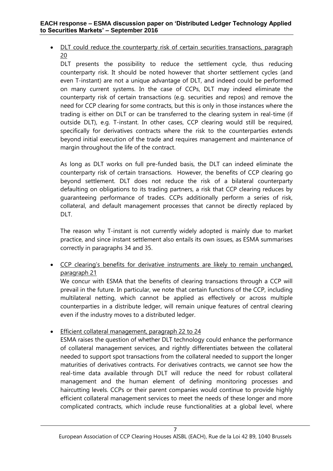• DLT could reduce the counterparty risk of certain securities transactions, paragraph 20

DLT presents the possibility to reduce the settlement cycle, thus reducing counterparty risk. It should be noted however that shorter settlement cycles (and even T-instant) are not a unique advantage of DLT, and indeed could be performed on many current systems. In the case of CCPs, DLT may indeed eliminate the counterparty risk of certain transactions (e.g. securities and repos) and remove the need for CCP clearing for some contracts, but this is only in those instances where the trading is either on DLT or can be transferred to the clearing system in real-time (if outside DLT), e.g. T-instant. In other cases, CCP clearing would still be required, specifically for derivatives contracts where the risk to the counterparties extends beyond initial execution of the trade and requires management and maintenance of margin throughout the life of the contract.

As long as DLT works on full pre-funded basis, the DLT can indeed eliminate the counterparty risk of certain transactions. However, the benefits of CCP clearing go beyond settlement. DLT does not reduce the risk of a bilateral counterparty defaulting on obligations to its trading partners, a risk that CCP clearing reduces by guaranteeing performance of trades. CCPs additionally perform a series of risk, collateral, and default management processes that cannot be directly replaced by DLT.

The reason why T-instant is not currently widely adopted is mainly due to market practice, and since instant settlement also entails its own issues, as ESMA summarises correctly in paragraphs 34 and 35.

• CCP clearing's benefits for derivative instruments are likely to remain unchanged, paragraph 21

We concur with ESMA that the benefits of clearing transactions through a CCP will prevail in the future. In particular, we note that certain functions of the CCP, including multilateral netting, which cannot be applied as effectively or across multiple counterparties in a distribute ledger, will remain unique features of central clearing even if the industry moves to a distributed ledger.

**Efficient collateral management, paragraph 22 to 24** 

ESMA raises the question of whether DLT technology could enhance the performance of collateral management services, and rightly differentiates between the collateral needed to support spot transactions from the collateral needed to support the longer maturities of derivatives contracts. For derivatives contracts, we cannot see how the real-time data available through DLT will reduce the need for robust collateral management and the human element of defining monitoring processes and haircutting levels. CCPs or their parent companies would continue to provide highly efficient collateral management services to meet the needs of these longer and more complicated contracts, which include reuse functionalities at a global level, where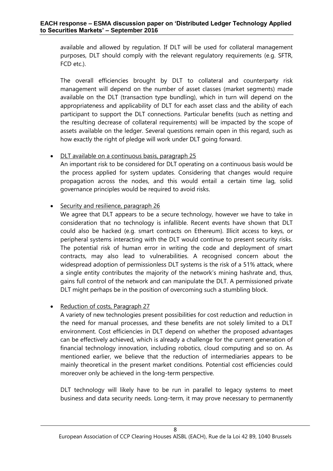available and allowed by regulation. If DLT will be used for collateral management purposes, DLT should comply with the relevant regulatory requirements (e.g. SFTR, FCD etc.).

The overall efficiencies brought by DLT to collateral and counterparty risk management will depend on the number of asset classes (market segments) made available on the DLT (transaction type bundling), which in turn will depend on the appropriateness and applicability of DLT for each asset class and the ability of each participant to support the DLT connections. Particular benefits (such as netting and the resulting decrease of collateral requirements) will be impacted by the scope of assets available on the ledger. Several questions remain open in this regard, such as how exactly the right of pledge will work under DLT going forward.

#### • DLT available on a continuous basis, paragraph 25

An important risk to be considered for DLT operating on a continuous basis would be the process applied for system updates. Considering that changes would require propagation across the nodes, and this would entail a certain time lag, solid governance principles would be required to avoid risks.

#### • Security and resilience, paragraph 26

We agree that DLT appears to be a secure technology, however we have to take in consideration that no technology is infallible. Recent events have shown that DLT could also be hacked (e.g. smart contracts on Ethereum). Illicit access to keys, or peripheral systems interacting with the DLT would continue to present security risks. The potential risk of human error in writing the code and deployment of smart contracts, may also lead to vulnerabilities. A recognised concern about the widespread adoption of permissionless DLT systems is the risk of a [51% attack,](http://www.coindesk.com/bitcoin-mining-detente-ghash-io-51-issue/) where a single entity contributes the majority of the network's mining hashrate and, thus, gains full control of the network and can manipulate the DLT. A permissioned private DLT might perhaps be in the position of overcoming such a stumbling block.

### • Reduction of costs, Paragraph 27

A variety of new technologies present possibilities for cost reduction and reduction in the need for manual processes, and these benefits are not solely limited to a DLT environment. Cost efficiencies in DLT depend on whether the proposed advantages can be effectively achieved, which is already a challenge for the current generation of financial technology innovation, including robotics, cloud computing and so on. As mentioned earlier, we believe that the reduction of intermediaries appears to be mainly theoretical in the present market conditions. Potential cost efficiencies could moreover only be achieved in the long-term perspective.

DLT technology will likely have to be run in parallel to legacy systems to meet business and data security needs. Long-term, it may prove necessary to permanently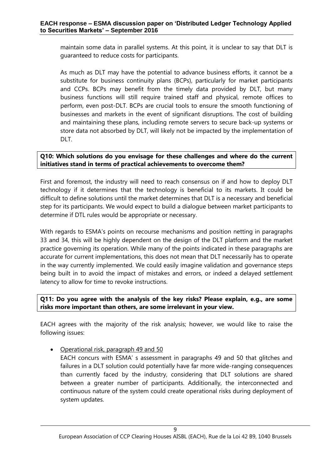maintain some data in parallel systems. At this point, it is unclear to say that DLT is guaranteed to reduce costs for participants.

As much as DLT may have the potential to advance business efforts, it cannot be a substitute for business continuity plans (BCPs), particularly for market participants and CCPs. BCPs may benefit from the timely data provided by DLT, but many business functions will still require trained staff and physical, remote offices to perform, even post-DLT. BCPs are crucial tools to ensure the smooth functioning of businesses and markets in the event of significant disruptions. The cost of building and maintaining these plans, including remote servers to secure back-up systems or store data not absorbed by DLT, will likely not be impacted by the implementation of DLT.

#### **Q10: Which solutions do you envisage for these challenges and where do the current initiatives stand in terms of practical achievements to overcome them?**

First and foremost, the industry will need to reach consensus on if and how to deploy DLT technology if it determines that the technology is beneficial to its markets. It could be difficult to define solutions until the market determines that DLT is a necessary and beneficial step for its participants. We would expect to build a dialogue between market participants to determine if DTL rules would be appropriate or necessary.

With regards to ESMA's points on recourse mechanisms and position netting in paragraphs 33 and 34, this will be highly dependent on the design of the DLT platform and the market practice governing its operation. While many of the points indicated in these paragraphs are accurate for current implementations, this does not mean that DLT necessarily has to operate in the way currently implemented. We could easily imagine validation and governance steps being built in to avoid the impact of mistakes and errors, or indeed a delayed settlement latency to allow for time to revoke instructions.

#### **Q11: Do you agree with the analysis of the key risks? Please explain, e.g., are some risks more important than others, are some irrelevant in your view.**

EACH agrees with the majority of the risk analysis; however, we would like to raise the following issues:

Operational risk, paragraph 49 and 50

EACH concurs with ESMA' s assessment in paragraphs 49 and 50 that glitches and failures in a DLT solution could potentially have far more wide-ranging consequences than currently faced by the industry, considering that DLT solutions are shared between a greater number of participants. Additionally, the interconnected and continuous nature of the system could create operational risks during deployment of system updates.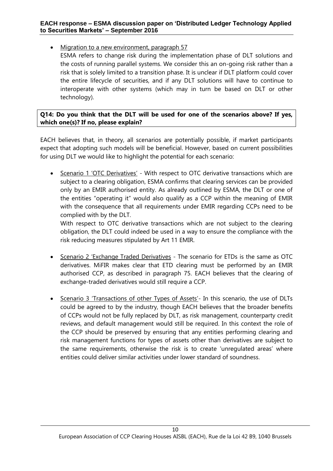• Migration to a new environment, paragraph 57

ESMA refers to change risk during the implementation phase of DLT solutions and the costs of running parallel systems. We consider this an on-going risk rather than a risk that is solely limited to a transition phase. It is unclear if DLT platform could cover the entire lifecycle of securities, and if any DLT solutions will have to continue to interoperate with other systems (which may in turn be based on DLT or other technology).

#### **Q14: Do you think that the DLT will be used for one of the scenarios above? If yes, which one(s)? If no, please explain?**

EACH believes that, in theory, all scenarios are potentially possible, if market participants expect that adopting such models will be beneficial. However, based on current possibilities for using DLT we would like to highlight the potential for each scenario:

• Scenario 1 'OTC Derivatives' - With respect to OTC derivative transactions which are subject to a clearing obligation, ESMA confirms that clearing services can be provided only by an EMIR authorised entity. As already outlined by ESMA, the DLT or one of the entities "operating it" would also qualify as a CCP within the meaning of EMIR with the consequence that all requirements under EMIR regarding CCPs need to be complied with by the DLT.

With respect to OTC derivative transactions which are not subject to the clearing obligation, the DLT could indeed be used in a way to ensure the compliance with the risk reducing measures stipulated by Art 11 EMIR.

- Scenario 2 'Exchange Traded Derivatives The scenario for ETDs is the same as OTC derivatives. MiFIR makes clear that ETD clearing must be performed by an EMIR authorised CCP, as described in paragraph 75. EACH believes that the clearing of exchange-traded derivatives would still require a CCP.
- Scenario 3 'Transactions of other Types of Assets'- In this scenario, the use of DLTs could be agreed to by the industry, though EACH believes that the broader benefits of CCPs would not be fully replaced by DLT, as risk management, counterparty credit reviews, and default management would still be required. In this context the role of the CCP should be preserved by ensuring that any entities performing clearing and risk management functions for types of assets other than derivatives are subject to the same requirements, otherwise the risk is to create 'unregulated areas' where entities could deliver similar activities under lower standard of soundness.